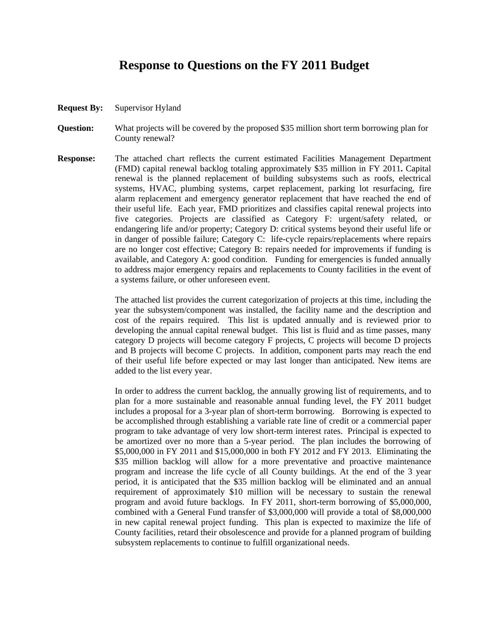# **Response to Questions on the FY 2011 Budget**

- **Request By:** Supervisor Hyland
- **Question:** What projects will be covered by the proposed \$35 million short term borrowing plan for County renewal?
- **Response:** The attached chart reflects the current estimated Facilities Management Department (FMD) capital renewal backlog totaling approximately \$35 million in FY 2011**.** Capital renewal is the planned replacement of building subsystems such as roofs, electrical systems, HVAC, plumbing systems, carpet replacement, parking lot resurfacing, fire alarm replacement and emergency generator replacement that have reached the end of their useful life. Each year, FMD prioritizes and classifies capital renewal projects into five categories. Projects are classified as Category F: urgent/safety related, or endangering life and/or property; Category D: critical systems beyond their useful life or in danger of possible failure; Category C: life-cycle repairs/replacements where repairs are no longer cost effective; Category B: repairs needed for improvements if funding is available, and Category A: good condition. Funding for emergencies is funded annually to address major emergency repairs and replacements to County facilities in the event of a systems failure, or other unforeseen event.

 The attached list provides the current categorization of projects at this time, including the year the subsystem/component was installed, the facility name and the description and cost of the repairs required. This list is updated annually and is reviewed prior to developing the annual capital renewal budget. This list is fluid and as time passes, many category D projects will become category F projects, C projects will become D projects and B projects will become C projects. In addition, component parts may reach the end of their useful life before expected or may last longer than anticipated. New items are added to the list every year.

In order to address the current backlog, the annually growing list of requirements, and to plan for a more sustainable and reasonable annual funding level, the FY 2011 budget includes a proposal for a 3-year plan of short-term borrowing. Borrowing is expected to be accomplished through establishing a variable rate line of credit or a commercial paper program to take advantage of very low short-term interest rates. Principal is expected to be amortized over no more than a 5-year period. The plan includes the borrowing of \$5,000,000 in FY 2011 and \$15,000,000 in both FY 2012 and FY 2013. Eliminating the \$35 million backlog will allow for a more preventative and proactive maintenance program and increase the life cycle of all County buildings. At the end of the 3 year period, it is anticipated that the \$35 million backlog will be eliminated and an annual requirement of approximately \$10 million will be necessary to sustain the renewal program and avoid future backlogs. In FY 2011, short-term borrowing of \$5,000,000, combined with a General Fund transfer of \$3,000,000 will provide a total of \$8,000,000 in new capital renewal project funding. This plan is expected to maximize the life of County facilities, retard their obsolescence and provide for a planned program of building subsystem replacements to continue to fulfill organizational needs.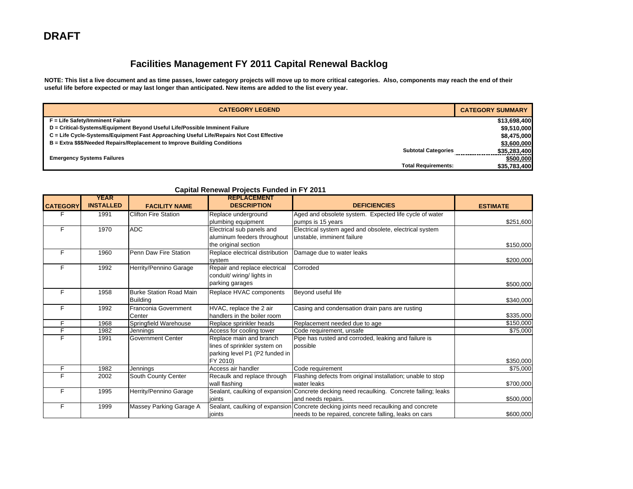## **Facilities Management FY 2011 Capital Renewal Backlog**

**NOTE: This list a live document and as time passes, lower category projects will move up to more critical categories. Also, components may reach the end of their useful life before expected or may last longer than anticipated. New items are added to the list every year.** 

| <b>CATEGORY LEGEND</b>                                                                   | <b>CATEGORY SUMMARY</b> |
|------------------------------------------------------------------------------------------|-------------------------|
| F = Life Safety/Imminent Failure                                                         | \$13,698,400            |
| D = Critical-Systems/Equipment Beyond Useful Life/Possible Imminent Failure              | \$9,510,000             |
| C = Life Cycle-Systems/Equipment Fast Approaching Useful Life/Repairs Not Cost Effective | \$8,475,000             |
| B = Extra \$\$\$/Needed Repairs/Replacement to Improve Building Conditions               | \$3,600,000             |
| <b>Subtotal Categories</b>                                                               | \$35,283,400            |
| <b>Emergency Systems Failures</b>                                                        | \$500,000               |
| <b>Total Requirements:</b>                                                               | \$35,783,400            |

| <b>CATEGORY</b> | <b>YEAR</b><br><b>INSTALLED</b> | <b>FACILITY NAME</b>           | <b>REPLACEMENT</b><br><b>DESCRIPTION</b> | <b>DEFICIENCIES</b>                                                                      | <b>ESTIMATE</b> |
|-----------------|---------------------------------|--------------------------------|------------------------------------------|------------------------------------------------------------------------------------------|-----------------|
| F               | 1991                            | <b>Clifton Fire Station</b>    | Replace underground                      | Aged and obsolete system. Expected life cycle of water                                   |                 |
|                 |                                 |                                | plumbing equipment                       | pumps is 15 years                                                                        | \$251,600       |
| F               | 1970                            | <b>ADC</b>                     | Electrical sub panels and                | Electrical system aged and obsolete, electrical system                                   |                 |
|                 |                                 |                                | aluminum feeders throughout              | unstable, imminent failure                                                               |                 |
|                 |                                 |                                | the original section                     |                                                                                          | \$150,000       |
| F               | 1960                            | Penn Daw Fire Station          | Replace electrical distribution          | Damage due to water leaks                                                                |                 |
|                 |                                 |                                | svstem                                   |                                                                                          | \$200,000       |
| F               | 1992                            | Herrity/Pennino Garage         | Repair and replace electrical            | Corroded                                                                                 |                 |
|                 |                                 |                                | conduit/ wiring/ lights in               |                                                                                          |                 |
|                 |                                 |                                | parking garages                          |                                                                                          | \$500,000       |
| F               | 1958                            | <b>Burke Station Road Main</b> | Replace HVAC components                  | Beyond useful life                                                                       |                 |
|                 |                                 | <b>Building</b>                |                                          |                                                                                          | \$340,000       |
| F               | 1992                            | Franconia Government           | HVAC, replace the 2 air                  | Casing and condensation drain pans are rusting                                           |                 |
|                 |                                 | Center                         | handlers in the boiler room              |                                                                                          | \$335,000       |
| F               | 1968                            | Springfield Warehouse          | Replace sprinkler heads                  | Replacement needed due to age                                                            | \$150,000       |
| F               | 1982                            | Jennings                       | Access for cooling tower                 | Code requirement, unsafe                                                                 | \$75,000        |
| F               | 1991                            | <b>Government Center</b>       | Replace main and branch                  | Pipe has rusted and corroded, leaking and failure is                                     |                 |
|                 |                                 |                                | lines of sprinkler system on             | possible                                                                                 |                 |
|                 |                                 |                                | parking level P1 (P2 funded in           |                                                                                          |                 |
|                 |                                 |                                | FY 2010)                                 |                                                                                          | \$350,000       |
| F               | 1982                            | Jennings                       | Access air handler                       | Code requirement                                                                         | \$75,000        |
| F               | 2002                            | South County Center            | Recaulk and replace through              | Flashing defects from original installation; unable to stop                              |                 |
|                 |                                 |                                | wall flashing                            | water leaks                                                                              | \$700,000       |
| F               | 1995                            | Herrity/Pennino Garage         |                                          | Sealant, caulking of expansion Concrete decking need recaulking. Concrete failing; leaks |                 |
|                 |                                 |                                | ioints                                   | and needs repairs.                                                                       | \$500,000       |
| F               | 1999                            | Massey Parking Garage A        |                                          | Sealant, caulking of expansion Concrete decking joints need recaulking and concrete      |                 |
|                 |                                 |                                | joints                                   | needs to be repaired, concrete falling, leaks on cars                                    | \$600,000       |

#### **Capital Renewal Projects Funded in FY 2011**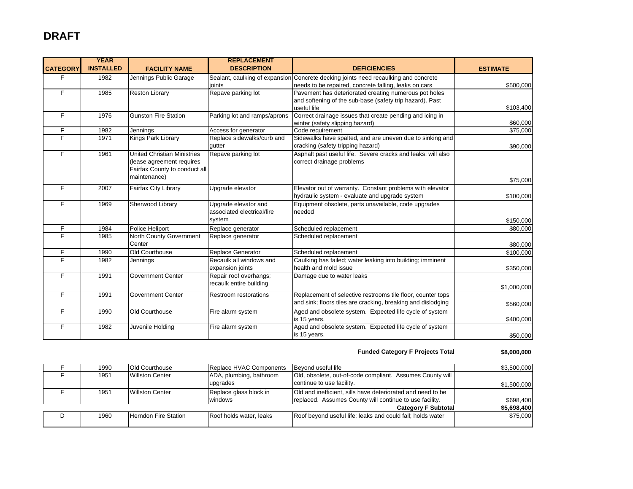### **DRAFT**

| <b>CATEGORY</b> | <b>YEAR</b><br><b>INSTALLED</b> | <b>FACILITY NAME</b>                                                                                             | <b>REPLACEMENT</b><br><b>DESCRIPTION</b>                     | <b>DEFICIENCIES</b>                                                                                                                          | <b>ESTIMATE</b> |
|-----------------|---------------------------------|------------------------------------------------------------------------------------------------------------------|--------------------------------------------------------------|----------------------------------------------------------------------------------------------------------------------------------------------|-----------------|
| F.              | 1982                            | Jennings Public Garage                                                                                           | ioints                                                       | Sealant, caulking of expansion Concrete decking joints need recaulking and concrete<br>needs to be repaired, concrete falling, leaks on cars | \$500,000       |
| F.              | 1985                            | <b>Reston Library</b>                                                                                            | Repave parking lot                                           | Pavement has deteriorated creating numerous pot holes<br>and softening of the sub-base (safety trip hazard). Past<br>useful life             | \$103,400       |
| F.              | 1976                            | <b>Gunston Fire Station</b>                                                                                      | Parking lot and ramps/aprons                                 | Correct drainage issues that create pending and icing in<br>winter (safety slipping hazard)                                                  | \$60,000        |
| F               | 1982                            | Jennings                                                                                                         | Access for generator                                         | Code requirement                                                                                                                             | \$75,000        |
| F               | 1971                            | Kings Park Library                                                                                               | Replace sidewalks/curb and<br>gutter                         | Sidewalks have spalted, and are uneven due to sinking and<br>cracking (safety tripping hazard)                                               | \$90,000        |
| F.              | 1961                            | <b>United Christian Ministries</b><br>(lease agreement requires<br>Fairfax County to conduct all<br>maintenance) | Repave parking lot                                           | Asphalt past useful life. Severe cracks and leaks; will also<br>correct drainage problems                                                    | \$75,000        |
| F.              | 2007                            | Fairfax City Library                                                                                             | Upgrade elevator                                             | Elevator out of warranty. Constant problems with elevator<br>hydraulic system - evaluate and upgrade system                                  | \$100,000       |
| F               | 1969                            | Sherwood Library                                                                                                 | Upgrade elevator and<br>associated electrical/fire<br>system | Equipment obsolete, parts unavailable, code upgrades<br>needed                                                                               | \$150,000       |
| F               | 1984                            | Police Heliport                                                                                                  | Replace generator                                            | Scheduled replacement                                                                                                                        | \$80,000        |
| F               | 1985                            | North County Government<br>Center                                                                                | Replace generator                                            | Scheduled replacement                                                                                                                        | \$80,000        |
| F               | 1990                            | Old Courthouse                                                                                                   | Replace Generator                                            | Scheduled replacement                                                                                                                        | \$100,000       |
| F               | 1982                            | Jennings                                                                                                         | Recaulk all windows and<br>expansion joints                  | Caulking has failed; water leaking into building; imminent<br>health and mold issue                                                          | \$350,000       |
| F               | 1991                            | <b>Government Center</b>                                                                                         | Repair roof overhangs;<br>recaulk entire building            | Damage due to water leaks                                                                                                                    | \$1,000,000     |
| F               | 1991                            | <b>Government Center</b>                                                                                         | Restroom restorations                                        | Replacement of selective restrooms tile floor, counter tops<br>and sink; floors tiles are cracking, breaking and dislodging                  | \$560,000       |
| F.              | 1990                            | Old Courthouse                                                                                                   | Fire alarm system                                            | Aged and obsolete system. Expected life cycle of system<br>is 15 years.                                                                      | \$400,000       |
| F               | 1982                            | Juvenile Holding                                                                                                 | Fire alarm system                                            | Aged and obsolete system. Expected life cycle of system<br>is 15 years.                                                                      | \$50,000        |

#### **Funded Category F Projects Total \$8,000,000**

| 1990 | <b>Old Courthouse</b>  | Replace HVAC Components             | Bevond useful life                                                                                                     | \$3,500,000 |
|------|------------------------|-------------------------------------|------------------------------------------------------------------------------------------------------------------------|-------------|
| 1951 | <b>Willston Center</b> | ADA, plumbing, bathroom<br>upgrades | Old, obsolete, out-of-code compliant. Assumes County will<br>continue to use facility.                                 | \$1,500,000 |
| 1951 | Willston Center        | Replace glass block in<br>windows   | Old and inefficient, sills have deteriorated and need to be<br>replaced. Assumes County will continue to use facility. | \$698,400   |
|      |                        |                                     | <b>Category F Subtotal</b>                                                                                             | \$5,698,400 |
| 1960 | Herndon Fire Station   | Roof holds water, leaks             | Roof beyond useful life; leaks and could fall; holds water                                                             | \$75,000    |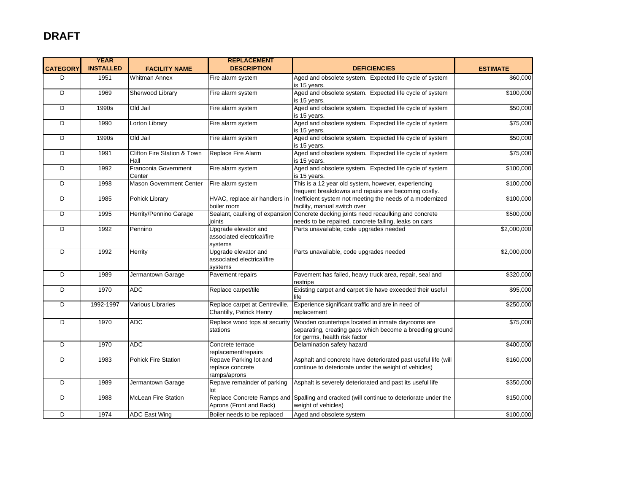|                 | <b>YEAR</b>      |                                     | <b>REPLACEMENT</b>                                            |                                                                                                                                                |                 |
|-----------------|------------------|-------------------------------------|---------------------------------------------------------------|------------------------------------------------------------------------------------------------------------------------------------------------|-----------------|
| <b>CATEGORY</b> | <b>INSTALLED</b> | <b>FACILITY NAME</b>                | <b>DESCRIPTION</b>                                            | <b>DEFICIENCIES</b>                                                                                                                            | <b>ESTIMATE</b> |
| D               | 1951             | <b>Whitman Annex</b>                | Fire alarm system                                             | Aged and obsolete system. Expected life cycle of system<br>is 15 years.                                                                        | \$60,000        |
| D               | 1969             | Sherwood Library                    | Fire alarm system                                             | Aged and obsolete system. Expected life cycle of system<br>is 15 years.                                                                        | \$100,000       |
| D               | 1990s            | Old Jail                            | Fire alarm system                                             | Aged and obsolete system. Expected life cycle of system<br>is 15 vears.                                                                        | \$50,000        |
| D               | 1990             | Lorton Library                      | Fire alarm system                                             | Aged and obsolete system. Expected life cycle of system<br>is 15 years.                                                                        | \$75,000        |
| D               | 1990s            | Old Jail                            | Fire alarm system                                             | Aged and obsolete system. Expected life cycle of system<br>is 15 years.                                                                        | \$50,000        |
| D               | 1991             | Clifton Fire Station & Town<br>Hall | Replace Fire Alarm                                            | Aged and obsolete system. Expected life cycle of system<br>is 15 years.                                                                        | \$75,000        |
| D               | 1992             | Franconia Government<br>Center      | Fire alarm system                                             | Aged and obsolete system. Expected life cycle of system<br>is 15 years.                                                                        | \$100,000       |
| D               | 1998             | <b>Mason Government Center</b>      | Fire alarm system                                             | This is a 12 year old system, however, experiencing<br>frequent breakdowns and repairs are becoming costly.                                    | \$100,000       |
| D               | 1985             | Pohick Library                      | HVAC, replace air handlers in<br>boiler room                  | Inefficient system not meeting the needs of a modernized<br>facility, manual switch over                                                       | \$100,000       |
| D               | 1995             | Herrity/Pennino Garage              | joints                                                        | Sealant, caulking of expansion Concrete decking joints need recaulking and concrete<br>needs to be repaired, concrete failing, leaks on cars   | \$500,000       |
| D               | 1992             | Pennino                             | Upgrade elevator and<br>associated electrical/fire<br>systems | Parts unavailable, code upgrades needed                                                                                                        | \$2,000,000     |
| D               | 1992             | Herrity                             | Upgrade elevator and<br>associated electrical/fire<br>systems | Parts unavailable, code upgrades needed                                                                                                        | \$2,000,000     |
| D               | 1989             | Jermantown Garage                   | Pavement repairs                                              | Pavement has failed, heavy truck area, repair, seal and<br>restripe                                                                            | \$320,000       |
| D               | 1970             | <b>ADC</b>                          | Replace carpet/tile                                           | Existing carpet and carpet tile have exceeded their useful<br>life                                                                             | \$95,000        |
| D               | 1992-1997        | Various Libraries                   | Replace carpet at Centreville,<br>Chantilly, Patrick Henry    | Experience significant traffic and are in need of<br>replacement                                                                               | \$250,000       |
| D               | 1970             | <b>ADC</b>                          | Replace wood tops at security<br>stations                     | Wooden countertops located in inmate dayrooms are<br>separating, creating gaps which become a breeding ground<br>for germs, health risk factor | \$75,000        |
| D               | 1970             | <b>ADC</b>                          | Concrete terrace<br>replacement/repairs                       | Delamination safety hazard                                                                                                                     | \$400,000       |
| D               | 1983             | <b>Pohick Fire Station</b>          | Repave Parking lot and<br>replace concrete<br>ramps/aprons    | Asphalt and concrete have deteriorated past useful life (will<br>continue to deteriorate under the weight of vehicles)                         | \$160,000       |
| D               | 1989             | Jermantown Garage                   | Repave remainder of parking<br>lot                            | Asphalt is severely deteriorated and past its useful life                                                                                      | \$350,000       |
| D               | 1988             | <b>McLean Fire Station</b>          | Replace Concrete Ramps and<br>Aprons (Front and Back)         | Spalling and cracked (will continue to deteriorate under the<br>weight of vehicles)                                                            | \$150,000       |
| D               | 1974             | <b>ADC East Wing</b>                | Boiler needs to be replaced                                   | Aged and obsolete system                                                                                                                       | \$100,000       |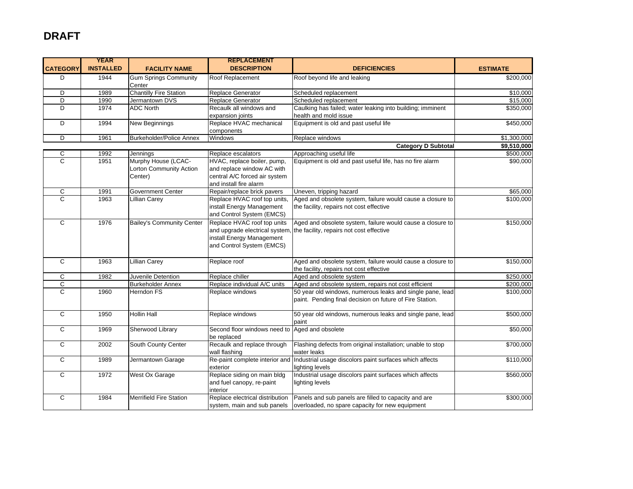### **DRAFT**

|                 | <b>YEAR</b>      |                                        | <b>REPLACEMENT</b>                             |                                                             |                 |
|-----------------|------------------|----------------------------------------|------------------------------------------------|-------------------------------------------------------------|-----------------|
| <b>CATEGORY</b> | <b>INSTALLED</b> | <b>FACILITY NAME</b>                   | <b>DESCRIPTION</b>                             | <b>DEFICIENCIES</b>                                         | <b>ESTIMATE</b> |
| D               | 1944             | <b>Gum Springs Community</b><br>Center | Roof Replacement                               | Roof beyond life and leaking                                | \$200,000       |
| D               | 1989             | <b>Chantilly Fire Station</b>          | Replace Generator                              | Scheduled replacement                                       | \$10,000        |
| D               | 1990             | Jermantown DVS                         | Replace Generator                              | Scheduled replacement                                       | \$15,000        |
| D               | 1974             | <b>ADC North</b>                       | Recaulk all windows and                        | Caulking has failed; water leaking into building; imminent  | \$350,000       |
|                 |                  |                                        | expansion joints                               | health and mold issue                                       |                 |
| D               | 1994             | New Beginnings                         | Replace HVAC mechanical                        | Equipment is old and past useful life                       | \$450,000       |
|                 |                  |                                        | components                                     |                                                             |                 |
| D               | 1961             | Burkeholder/Police Annex               | Windows                                        | Replace windows                                             | \$1,300,000     |
|                 |                  |                                        |                                                | <b>Category D Subtotal</b>                                  | \$9,510,000     |
| C               | 1992             | Jennings                               | Replace escalators                             | Approaching useful life                                     | \$500,000       |
| C               | 1951             | Murphy House (LCAC-                    | HVAC, replace boiler, pump,                    | Equipment is old and past useful life, has no fire alarm    | \$90,000        |
|                 |                  | Lorton Community Action                | and replace window AC with                     |                                                             |                 |
|                 |                  | Center)                                | central A/C forced air system                  |                                                             |                 |
|                 |                  |                                        | and install fire alarm                         |                                                             |                 |
| C               | 1991             | <b>Government Center</b>               | Repair/replace brick pavers                    | Uneven, tripping hazard                                     | \$65,000        |
| $\overline{C}$  | 1963             | <b>Lillian Carey</b>                   | Replace HVAC roof top units,                   | Aged and obsolete system, failure would cause a closure to  | \$100,000       |
|                 |                  |                                        | install Energy Management                      | the facility, repairs not cost effective                    |                 |
|                 |                  |                                        | and Control System (EMCS)                      |                                                             |                 |
| $\mathsf C$     | 1976             | <b>Bailey's Community Center</b>       | Replace HVAC roof top units                    | Aged and obsolete system, failure would cause a closure to  | \$150,000       |
|                 |                  |                                        | and upgrade electrical system,                 | the facility, repairs not cost effective                    |                 |
|                 |                  |                                        | install Energy Management                      |                                                             |                 |
|                 |                  |                                        | and Control System (EMCS)                      |                                                             |                 |
|                 |                  |                                        |                                                |                                                             |                 |
| $\mathsf{C}$    | 1963             | <b>Lillian Carey</b>                   | Replace roof                                   | Aged and obsolete system, failure would cause a closure to  | \$150,000       |
|                 |                  |                                        |                                                | the facility, repairs not cost effective                    |                 |
| C               | 1982             | Juvenile Detention                     | Replace chiller                                | Aged and obsolete system                                    | \$250,000       |
| C               |                  | <b>Burkeholder Annex</b>               | Replace individual A/C units                   | Aged and obsolete system, repairs not cost efficient        | \$200,000       |
| $\overline{c}$  | 1960             | Herndon FS                             | Replace windows                                | 50 year old windows, numerous leaks and single pane, lead   | \$100,000       |
|                 |                  |                                        |                                                | paint. Pending final decision on future of Fire Station.    |                 |
|                 |                  |                                        |                                                |                                                             |                 |
| $\mathsf{C}$    | 1950             | <b>Hollin Hall</b>                     | Replace windows                                | 50 year old windows, numerous leaks and single pane, lead   | \$500,000       |
|                 |                  |                                        |                                                | paint                                                       |                 |
| C               | 1969             | Sherwood Library                       | Second floor windows need to Aged and obsolete |                                                             | \$50,000        |
|                 |                  |                                        | be replaced                                    |                                                             |                 |
| C               | 2002             | South County Center                    | Recaulk and replace through                    | Flashing defects from original installation; unable to stop | \$700,000       |
|                 |                  |                                        | wall flashing                                  | water leaks                                                 |                 |
| C               | 1989             | Jermantown Garage                      | Re-paint complete interior and                 | Industrial usage discolors paint surfaces which affects     | \$110,000       |
|                 |                  |                                        | exterior                                       | lighting levels                                             |                 |
| $\mathsf{C}$    | 1972             | West Ox Garage                         | Replace siding on main bldg                    | Industrial usage discolors paint surfaces which affects     | \$560,000       |
|                 |                  |                                        | and fuel canopy, re-paint                      | lighting levels                                             |                 |
|                 |                  |                                        | interior                                       |                                                             |                 |
| C               | 1984             | <b>Merrifield Fire Station</b>         | Replace electrical distribution                | Panels and sub panels are filled to capacity and are        | \$300,000       |
|                 |                  |                                        | system, main and sub panels                    | overloaded, no spare capacity for new equipment             |                 |
|                 |                  |                                        |                                                |                                                             |                 |